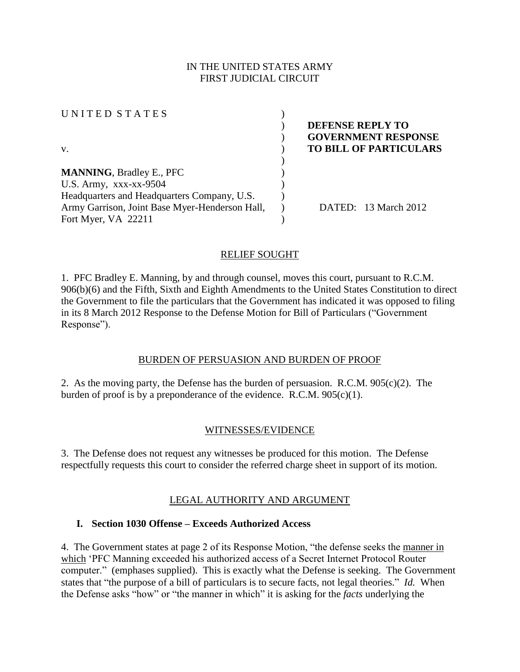### IN THE UNITED STATES ARMY FIRST JUDICIAL CIRCUIT

U N I T E D S T A T E S ( v. ) **TO BILL OF PARTICULARS** ) **MANNING**, Bradley E., PFC ) U.S. Army,  $XXX-XX-9504$  ) Headquarters and Headquarters Company, U.S. Army Garrison, Joint Base Myer-Henderson Hall, Fort Myer, VA 22211 ) )

) **DEFENSE REPLY TO**  ) **GOVERNMENT RESPONSE**

) DATED: 13 March 2012

### RELIEF SOUGHT

1. PFC Bradley E. Manning, by and through counsel, moves this court, pursuant to R.C.M. 906(b)(6) and the Fifth, Sixth and Eighth Amendments to the United States Constitution to direct the Government to file the particulars that the Government has indicated it was opposed to filing in its 8 March 2012 Response to the Defense Motion for Bill of Particulars ("Government Response").

### BURDEN OF PERSUASION AND BURDEN OF PROOF

2. As the moving party, the Defense has the burden of persuasion. R.C.M. 905(c)(2). The burden of proof is by a preponderance of the evidence. R.C.M.  $905(c)(1)$ .

### WITNESSES/EVIDENCE

3. The Defense does not request any witnesses be produced for this motion. The Defense respectfully requests this court to consider the referred charge sheet in support of its motion.

# LEGAL AUTHORITY AND ARGUMENT

### **I. Section 1030 Offense – Exceeds Authorized Access**

4. The Government states at page 2 of its Response Motion, "the defense seeks the manner in which 'PFC Manning exceeded his authorized access of a Secret Internet Protocol Router computer." (emphases supplied). This is exactly what the Defense is seeking. The Government states that "the purpose of a bill of particulars is to secure facts, not legal theories." *Id.* When the Defense asks "how" or "the manner in which" it is asking for the *facts* underlying the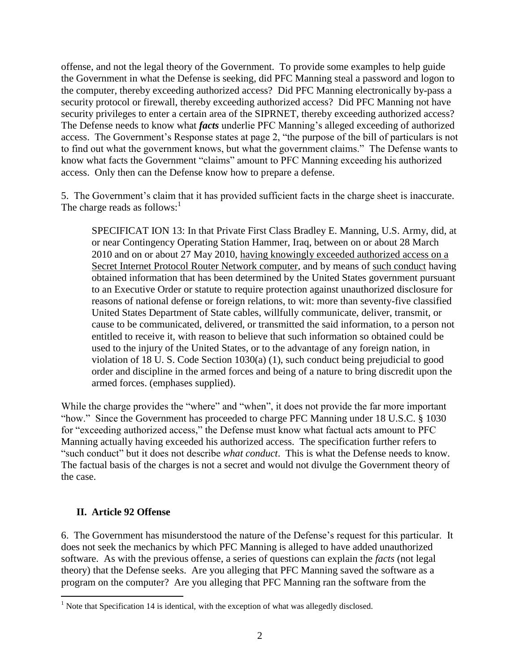offense, and not the legal theory of the Government. To provide some examples to help guide the Government in what the Defense is seeking, did PFC Manning steal a password and logon to the computer, thereby exceeding authorized access? Did PFC Manning electronically by-pass a security protocol or firewall, thereby exceeding authorized access? Did PFC Manning not have security privileges to enter a certain area of the SIPRNET, thereby exceeding authorized access? The Defense needs to know what *facts* underlie PFC Manning's alleged exceeding of authorized access. The Government's Response states at page 2, "the purpose of the bill of particulars is not to find out what the government knows, but what the government claims." The Defense wants to know what facts the Government "claims" amount to PFC Manning exceeding his authorized access. Only then can the Defense know how to prepare a defense.

5. The Government's claim that it has provided sufficient facts in the charge sheet is inaccurate. The charge reads as follows: $<sup>1</sup>$ </sup>

SPECIFICAT ION 13: In that Private First Class Bradley E. Manning, U.S. Army, did, at or near Contingency Operating Station Hammer, Iraq, between on or about 28 March 2010 and on or about 27 May 2010, having knowingly exceeded authorized access on a Secret Internet Protocol Router Network computer, and by means of such conduct having obtained information that has been determined by the United States government pursuant to an Executive Order or statute to require protection against unauthorized disclosure for reasons of national defense or foreign relations, to wit: more than seventy-five classified United States Department of State cables, willfully communicate, deliver, transmit, or cause to be communicated, delivered, or transmitted the said information, to a person not entitled to receive it, with reason to believe that such information so obtained could be used to the injury of the United States, or to the advantage of any foreign nation, in violation of 18 U. S. Code Section 1030(a) (1), such conduct being prejudicial to good order and discipline in the armed forces and being of a nature to bring discredit upon the armed forces. (emphases supplied).

While the charge provides the "where" and "when", it does not provide the far more important "how." Since the Government has proceeded to charge PFC Manning under 18 U.S.C. § 1030 for "exceeding authorized access," the Defense must know what factual acts amount to PFC Manning actually having exceeded his authorized access. The specification further refers to "such conduct" but it does not describe *what conduct*. This is what the Defense needs to know. The factual basis of the charges is not a secret and would not divulge the Government theory of the case.

### **II. Article 92 Offense**

 $\overline{a}$ 

6. The Government has misunderstood the nature of the Defense's request for this particular. It does not seek the mechanics by which PFC Manning is alleged to have added unauthorized software. As with the previous offense, a series of questions can explain the *facts* (not legal theory) that the Defense seeks. Are you alleging that PFC Manning saved the software as a program on the computer? Are you alleging that PFC Manning ran the software from the

 $<sup>1</sup>$  Note that Specification 14 is identical, with the exception of what was allegedly disclosed.</sup>